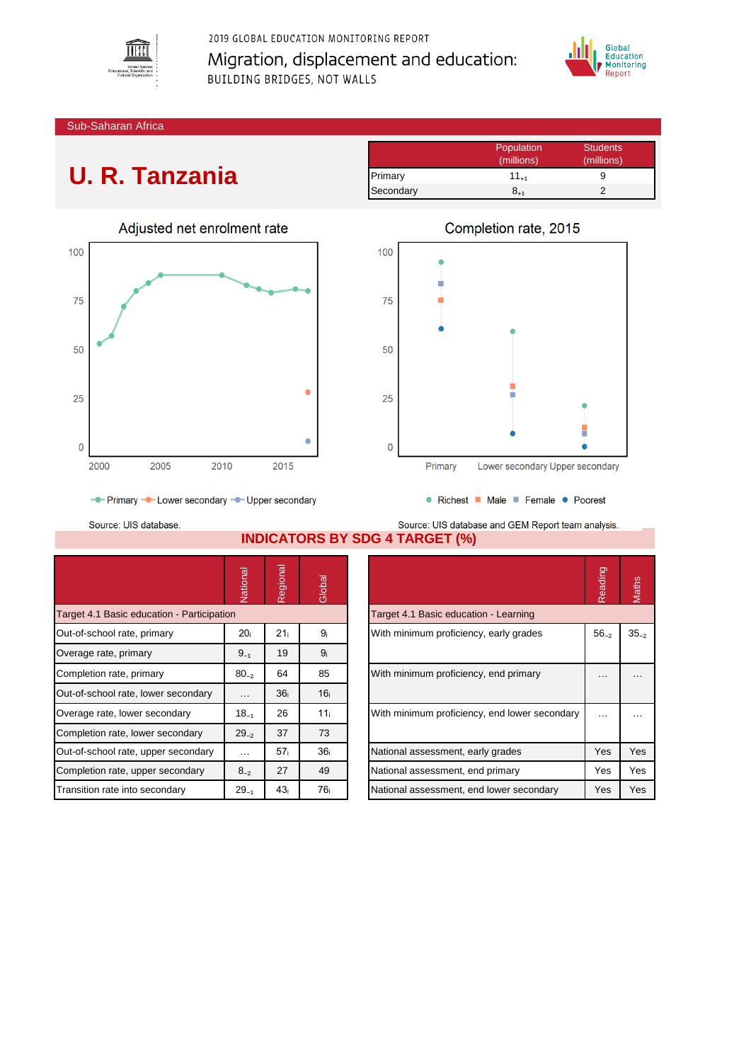

2019 GLOBAL EDUCATION MONITORING REPORT Migration, displacement and education: BUILDING BRIDGES, NOT WALLS



Sub-Saharan Africa

## **U. R. Tanzania**

|           | Population | <b>Students</b> |
|-----------|------------|-----------------|
|           | (millions) | (millions)      |
| Primary   | $11_{+1}$  |                 |
| Secondary | 8.1        |                 |





- Primary - Lower secondary - Upper secondary

Source: UIS database.

Source: UIS database and GEM Report team analysis. **INDICATORS BY SDG 4 TARGET (%)**

|                                            | Vational        | Regional        | Global          |                                               | Reading    | Maths    |
|--------------------------------------------|-----------------|-----------------|-----------------|-----------------------------------------------|------------|----------|
| Target 4.1 Basic education - Participation |                 |                 |                 | Target 4.1 Basic education - Learning         |            |          |
| Out-of-school rate, primary                | 20 <sub>i</sub> | 21 <sub>i</sub> | 9 <sub>i</sub>  | With minimum proficiency, early grades        | $56_{-2}$  | $35 - 2$ |
| Overage rate, primary                      | $9_{-1}$        | 19              | 9 <sub>i</sub>  |                                               |            |          |
| Completion rate, primary                   | $80_{-2}$       | 64              | 85              | With minimum proficiency, end primary         |            | $\cdots$ |
| Out-of-school rate, lower secondary        | $\cdots$        | 36 <sub>i</sub> | 16 <sub>i</sub> |                                               |            |          |
| Overage rate, lower secondary              | $18_{-1}$       | 26              | 11 <sub>i</sub> | With minimum proficiency, end lower secondary |            | $\cdots$ |
| Completion rate, lower secondary           | $29_{-2}$       | 37              | 73              |                                               |            |          |
| Out-of-school rate, upper secondary        | $\cdots$        | 57 <sub>i</sub> | 36 <sub>i</sub> | National assessment, early grades             | <b>Yes</b> | Yes      |
| Completion rate, upper secondary           | $8_{-2}$        | 27              | 49              | National assessment, end primary              | Yes        | Yes      |
| Transition rate into secondary             | $29_{-1}$       | 43 <sub>i</sub> | 76 <sub>i</sub> | National assessment, end lower secondary      | Yes        | Yes      |

|                                               | Reading   | <b>laths</b> |
|-----------------------------------------------|-----------|--------------|
| Target 4.1 Basic education - Learning         |           |              |
| With minimum proficiency, early grades        | $56_{-2}$ | $35_{-2}$    |
| With minimum proficiency, end primary         |           |              |
| With minimum proficiency, end lower secondary |           |              |
| National assessment, early grades             | Yes       | Yes          |
| National assessment, end primary              | Yes       | Yes          |
| National assessment, end lower secondary      | Yes       | Yes          |

● Richest ■ Male ■ Female ● Poorest

## Completion rate, 2015